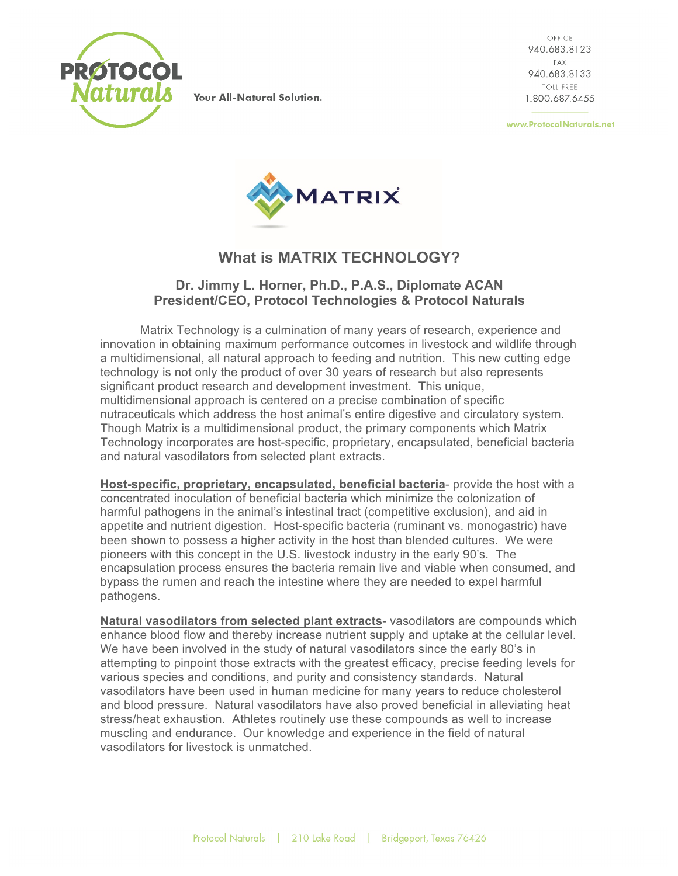

Your All-Natural Solution.

OFFICE 940.683.8123 FAX 940.683.8133 TOIL FREE. 1.800.687.6455

www.ProtocolNaturals.net



## **What is MATRIX TECHNOLOGY?**

## **Dr. Jimmy L. Horner, Ph.D., P.A.S., Diplomate ACAN President/CEO, Protocol Technologies & Protocol Naturals**

Matrix Technology is a culmination of many years of research, experience and innovation in obtaining maximum performance outcomes in livestock and wildlife through a multidimensional, all natural approach to feeding and nutrition. This new cutting edge technology is not only the product of over 30 years of research but also represents significant product research and development investment. This unique, multidimensional approach is centered on a precise combination of specific nutraceuticals which address the host animal's entire digestive and circulatory system. Though Matrix is a multidimensional product, the primary components which Matrix Technology incorporates are host-specific, proprietary, encapsulated, beneficial bacteria and natural vasodilators from selected plant extracts.

**Host-specific, proprietary, encapsulated, beneficial bacteria**- provide the host with a concentrated inoculation of beneficial bacteria which minimize the colonization of harmful pathogens in the animal's intestinal tract (competitive exclusion), and aid in appetite and nutrient digestion. Host-specific bacteria (ruminant vs. monogastric) have been shown to possess a higher activity in the host than blended cultures. We were pioneers with this concept in the U.S. livestock industry in the early 90's. The encapsulation process ensures the bacteria remain live and viable when consumed, and bypass the rumen and reach the intestine where they are needed to expel harmful pathogens.

**Natural vasodilators from selected plant extracts**- vasodilators are compounds which enhance blood flow and thereby increase nutrient supply and uptake at the cellular level. We have been involved in the study of natural vasodilators since the early 80's in attempting to pinpoint those extracts with the greatest efficacy, precise feeding levels for various species and conditions, and purity and consistency standards. Natural vasodilators have been used in human medicine for many years to reduce cholesterol and blood pressure. Natural vasodilators have also proved beneficial in alleviating heat stress/heat exhaustion. Athletes routinely use these compounds as well to increase muscling and endurance. Our knowledge and experience in the field of natural vasodilators for livestock is unmatched.